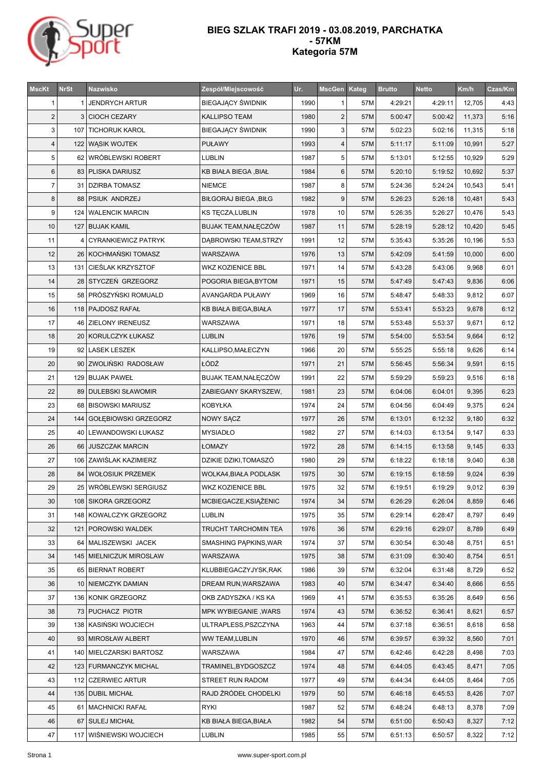

## **BIEG SZLAK TRAFI 2019 - 03.08.2019, PARCHATKA - 57KM Kategoria 57M**

| <b>MscKt</b>   | <b>NrSt</b> | Nazwisko                   | Zespół/Miejscowość           | Ur.  | MscGen Kateg   |     | <b>Brutto</b> | <b>Netto</b> | Km/h   | Czas/Km |
|----------------|-------------|----------------------------|------------------------------|------|----------------|-----|---------------|--------------|--------|---------|
| 1              | 1           | <b>JENDRYCH ARTUR</b>      | <b>BIEGAJĄCY ŚWIDNIK</b>     | 1990 | $\mathbf{1}$   | 57M | 4:29:21       | 4:29:11      | 12,705 | 4:43    |
| $\overline{c}$ | 3           | <b>CIOCH CEZARY</b>        | KALLIPSO TEAM                | 1980 | $\sqrt{2}$     | 57M | 5:00:47       | 5:00:42      | 11,373 | 5:16    |
| 3              |             | 107   TICHORUK KAROL       | <b>BIEGAJĄCY ŚWIDNIK</b>     | 1990 | 3              | 57M | 5:02:23       | 5:02:16      | 11,315 | 5:18    |
| 4              |             | 122 WASIK WOJTEK           | <b>PUŁAWY</b>                | 1993 | $\overline{4}$ | 57M | 5:11:17       | 5:11:09      | 10,991 | 5:27    |
| 5              |             | 62 WRÓBLEWSKI ROBERT       | LUBLIN                       | 1987 | 5              | 57M | 5:13:01       | 5:12:55      | 10,929 | 5:29    |
| 6              |             | 83   PLISKA DARIUSZ        | KB BIAŁA BIEGA, BIAŁ         | 1984 | $\,6$          | 57M | 5:20:10       | 5:19:52      | 10,692 | 5:37    |
| 7              |             | 31   DZIRBA TOMASZ         | NIEMCE                       | 1987 | 8              | 57M | 5:24:36       | 5:24:24      | 10,543 | 5:41    |
| 8              |             | 88   PSIUK ANDRZEJ         | <b>BIŁGORAJ BIEGA, BIŁG</b>  | 1982 | $9\,$          | 57M | 5:26:23       | 5:26:18      | 10,481 | 5:43    |
| 9              |             | 124   WALENCIK MARCIN      | KS TĘCZA,LUBLIN              | 1978 | 10             | 57M | 5:26:35       | 5:26:27      | 10,476 | 5:43    |
| 10             |             | 127 BUJAK KAMIL            | BUJAK TEAM, NAŁĘCZÓW         | 1987 | 11             | 57M | 5:28:19       | 5:28:12      | 10,420 | 5:45    |
| 11             | 4           | <b>CYRANKIEWICZ PATRYK</b> | DĄBROWSKI TEAM,STRZY         | 1991 | 12             | 57M | 5:35:43       | 5:35:26      | 10,196 | 5:53    |
| 12             |             | 26 KOCHMAŃSKI TOMASZ       | WARSZAWA                     | 1976 | 13             | 57M | 5:42:09       | 5:41:59      | 10,000 | 6:00    |
| 13             |             | 131   CIEŚLAK KRZYSZTOF    | WKZ KOZIENICE BBL            | 1971 | 14             | 57M | 5:43:28       | 5:43:06      | 9,968  | 6:01    |
| 14             |             | 28 STYCZEŃ GRZEGORZ        | POGORIA BIEGA, BYTOM         | 1971 | 15             | 57M | 5:47:49       | 5:47:43      | 9,836  | 6:06    |
| 15             |             | 58 PRÓSZYŃSKI ROMUALD      | AVANGARDA PUŁAWY             | 1969 | 16             | 57M | 5:48:47       | 5:48:33      | 9,812  | 6:07    |
| 16             |             | 118 PAJDOSZ RAFAŁ          | KB BIAŁA BIEGA, BIAŁA        | 1977 | 17             | 57M | 5:53:41       | 5:53:23      | 9,678  | 6:12    |
| 17             |             | 46 ZIELONY IRENEUSZ        | WARSZAWA                     | 1971 | 18             | 57M | 5:53:48       | 5:53:37      | 9,671  | 6:12    |
| 18             |             | 20   KORULCZYK ŁUKASZ      | <b>LUBLIN</b>                | 1976 | 19             | 57M | 5:54:00       | 5:53:54      | 9,664  | 6:12    |
| 19             |             | 92 LASEK LESZEK            | KALLIPSO, MAŁECZYN           | 1966 | 20             | 57M | 5:55:25       | 5:55:18      | 9,626  | 6:14    |
| 20             |             | 90 ZWOLIŃSKI RADOSŁAW      | ŁÓDŹ                         | 1971 | 21             | 57M | 5:56:45       | 5:56:34      | 9,591  | 6:15    |
| 21             |             | 129 BUJAK PAWEŁ            | BUJAK TEAM, NAŁĘCZÓW         | 1991 | 22             | 57M | 5:59:29       | 5:59:23      | 9,516  | 6:18    |
| 22             |             | 89   DULEBSKI SŁAWOMIR     | ZABIEGANY SKARYSZEW,         | 1981 | 23             | 57M | 6:04:06       | 6:04:01      | 9,395  | 6:23    |
| 23             |             | 68 BISOWSKI MARIUSZ        | KOBYŁKA                      | 1974 | 24             | 57M | 6:04:56       | 6:04:49      | 9,375  | 6:24    |
| 24             |             | 144 GOŁĘBIOWSKI GRZEGORZ   | NOWY SĄCZ                    | 1977 | 26             | 57M | 6:13:01       | 6:12:32      | 9,180  | 6:32    |
| 25             |             | 40 LEWANDOWSKI ŁUKASZ      | <b>MYSIADŁO</b>              | 1982 | 27             | 57M | 6:14:03       | 6:13:54      | 9,147  | 6:33    |
| 26             |             | 66 JUSZCZAK MARCIN         | ŁOMAZY                       | 1972 | 28             | 57M | 6:14:15       | 6:13:58      | 9,145  | 6:33    |
| 27             |             | 106 ZAWIŚLAK KAZIMIERZ     | DZIKIE DZIKI,TOMASZÓ         | 1980 | 29             | 57M | 6:18:22       | 6:18:18      | 9,040  | 6:38    |
| 28             |             | 84   WOŁOSIUK PRZEMEK      | <b>WOLKA4, BIAŁA PODLASK</b> | 1975 | 30             | 57M | 6:19:15       | 6:18:59      | 9,024  | 6:39    |
| 29             |             | 25   WRÓBLEWSKI SERGIUSZ   | WKZ KOZIENICE BBL            | 1975 | 32             | 57M | 6:19:51       | 6:19:29      | 9,012  | 6:39    |
| 30             |             | 108 SIKORA GRZEGORZ        | MCBIEGACZE, KSIĄŻENIC        | 1974 | 34             | 57M | 6:26:29       | 6:26:04      | 8,859  | 6:46    |
| 31             |             | 148 KOWALCZYK GRZEGORZ     | LUBLIN                       | 1975 | 35             | 57M | 6:29:14       | 6:28:47      | 8,797  | 6:49    |
| 32             |             | 121   POROWSKI WALDEK      | TRUCHT TARCHOMIN TEA         | 1976 | 36             | 57M | 6:29:16       | 6:29:07      | 8,789  | 6:49    |
| 33             |             | 64 MALISZEWSKI JACEK       | SMASHING PĄPKINS, WAR        | 1974 | 37             | 57M | 6:30:54       | 6:30:48      | 8,751  | 6:51    |
| 34             |             | 145   MIELNICZUK MIROSLAW  | WARSZAWA                     | 1975 | 38             | 57M | 6:31:09       | 6:30:40      | 8,754  | 6:51    |
| 35             |             | 65 BIERNAT ROBERT          | KLUBBIEGACZYJYSK,RAK         | 1986 | 39             | 57M | 6:32:04       | 6:31:48      | 8,729  | 6:52    |
| 36             |             | 10   NIEMCZYK DAMIAN       | DREAM RUN, WARSZAWA          | 1983 | 40             | 57M | 6:34:47       | 6:34:40      | 8,666  | 6:55    |
| 37             |             | 136   KONIK GRZEGORZ       | OKB ZADYSZKA / KS KA         | 1969 | 41             | 57M | 6:35:53       | 6:35:26      | 8,649  | 6:56    |
| 38             |             | 73 PUCHACZ PIOTR           | <b>MPK WYBIEGANIE, WARS</b>  | 1974 | 43             | 57M | 6:36:52       | 6:36:41      | 8,621  | 6:57    |
| 39             |             | 138 KASIŃSKI WOJCIECH      | ULTRAPLESS,PSZCZYNA          | 1963 | 44             | 57M | 6:37:18       | 6:36:51      | 8,618  | 6:58    |
| 40             |             | 93 MIROSŁAW ALBERT         | WW TEAM,LUBLIN               | 1970 | 46             | 57M | 6:39:57       | 6:39:32      | 8,560  | 7:01    |
| 41             |             | 140   MIELCZARSKI BARTOSZ  | WARSZAWA                     | 1984 | 47             | 57M | 6:42:46       | 6:42:28      | 8,498  | 7:03    |
| 42             |             | 123   FURMANCZYK MICHAL    | TRAMINEL, BYDGOSZCZ          | 1974 | 48             | 57M | 6:44:05       | 6:43:45      | 8,471  | 7:05    |
| 43             |             | 112 CZERWIEC ARTUR         | STREET RUN RADOM             | 1977 | 49             | 57M | 6:44:34       | 6:44:05      | 8,464  | 7:05    |
| 44             |             | 135   DUBIL MICHAŁ         | RAJD ŹRÓDEŁ CHODELKI         | 1979 | 50             | 57M | 6:46:18       | 6:45:53      | 8,426  | 7:07    |
| 45             |             | 61   MACHNICKI RAFAŁ       | RYKI                         | 1987 | 52             | 57M | 6:48:24       | 6:48:13      | 8,378  | 7:09    |
| 46             | 67          | <b>SULEJ MICHAŁ</b>        | KB BIAŁA BIEGA, BIAŁA        | 1982 | 54             | 57M | 6:51:00       | 6:50:43      | 8,327  | 7:12    |
| 47             | 117         | WIŚNIEWSKI WOJCIECH        | LUBLIN                       | 1985 | 55             | 57M | 6:51:13       | 6:50:57      | 8,322  | 7:12    |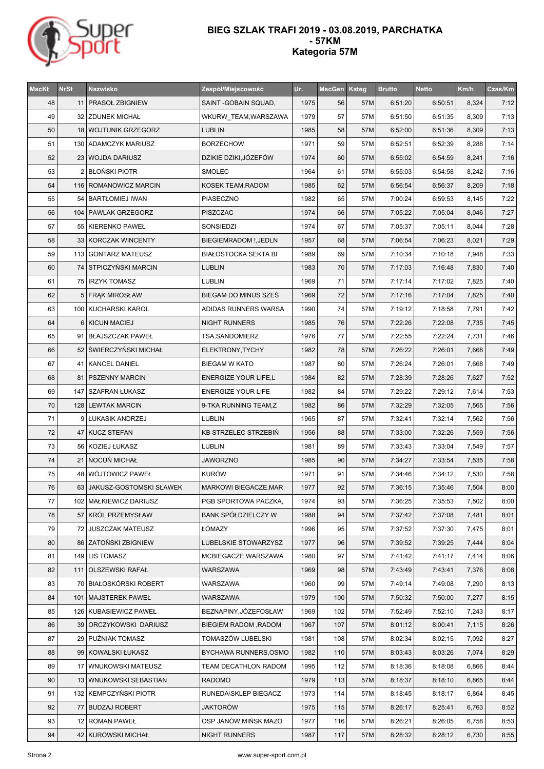

## **BIEG SZLAK TRAFI 2019 - 03.08.2019, PARCHATKA - 57KM Kategoria 57M**

| <b>MscKt</b> | <b>NrSt</b> | Nazwisko                   | Zespół/Miejscowość           | Ur.  | MscGen Kateg |     | <b>Brutto</b> | <b>Netto</b> | Km/h  | Czas/Km |
|--------------|-------------|----------------------------|------------------------------|------|--------------|-----|---------------|--------------|-------|---------|
| 48           |             | 11 PRASOŁ ZBIGNIEW         | SAINT - GOBAIN SQUAD,        | 1975 | 56           | 57M | 6:51:20       | 6:50:51      | 8,324 | 7:12    |
| 49           |             | 32   ZDUNEK MICHAŁ         | WKURW_TEAM, WARSZAWA         | 1979 | 57           | 57M | 6:51:50       | 6:51:35      | 8,309 | 7:13    |
| 50           |             | 18   WOJTUNIK GRZEGORZ     | <b>LUBLIN</b>                | 1985 | 58           | 57M | 6:52:00       | 6:51:36      | 8,309 | 7:13    |
| 51           |             | 130 ADAMCZYK MARIUSZ       | <b>BORZECHOW</b>             | 1971 | 59           | 57M | 6:52:51       | 6:52:39      | 8,288 | 7:14    |
| 52           |             | 23   WOJDA DARIUSZ         | DZIKIE DZIKI, JÓZEFÓW        | 1974 | 60           | 57M | 6:55:02       | 6:54:59      | 8,241 | 7:16    |
| 53           |             | 2 BŁOŃSKI PIOTR            | <b>SMOLEC</b>                | 1964 | 61           | 57M | 6:55:03       | 6:54:58      | 8,242 | 7:16    |
| 54           |             | 116   ROMANOWICZ MARCIN    | KOSEK TEAM, RADOM            | 1985 | 62           | 57M | 6:56:54       | 6:56:37      | 8,209 | 7:18    |
| 55           |             | 54   BARTŁOMIEJ IWAN       | PIASECZNO                    | 1982 | 65           | 57M | 7:00:24       | 6:59:53      | 8,145 | 7:22    |
| 56           |             | 104   PAWLAK GRZEGORZ      | <b>PISZCZAC</b>              | 1974 | 66           | 57M | 7:05:22       | 7:05:04      | 8,046 | 7:27    |
| 57           |             | 55   KIERENKO PAWEŁ        | SONSIEDZI                    | 1974 | 67           | 57M | 7:05:37       | 7:05:11      | 8,044 | 7:28    |
| 58           |             | 33 KORCZAK WINCENTY        | <b>BIEGIEMRADOM !, JEDLN</b> | 1957 | 68           | 57M | 7:06:54       | 7:06:23      | 8,021 | 7:29    |
| 59           |             | 113 GONTARZ MATEUSZ        | <b>BIAŁOSTOCKA SEKTA BI</b>  | 1989 | 69           | 57M | 7:10:34       | 7:10:18      | 7,948 | 7:33    |
| 60           |             | 74 STPICZYŃSKI MARCIN      | <b>LUBLIN</b>                | 1983 | 70           | 57M | 7:17:03       | 7:16:48      | 7,830 | 7:40    |
| 61           |             | 75   IRZYK TOMASZ          | LUBLIN                       | 1969 | 71           | 57M | 7:17:14       | 7:17:02      | 7,825 | 7:40    |
| 62           |             | 5 FRAK MIROSŁAW            | BIEGAM DO MINUS SZEŚ         | 1969 | 72           | 57M | 7:17:16       | 7:17:04      | 7,825 | 7:40    |
| 63           |             | 100   KUCHARSKI KAROL      | ADIDAS RUNNERS WARSA         | 1990 | 74           | 57M | 7:19:12       | 7:18:58      | 7,791 | 7:42    |
| 64           |             | 6   KICUN MACIEJ           | <b>NIGHT RUNNERS</b>         | 1985 | 76           | 57M | 7:22:26       | 7:22:08      | 7,735 | 7:45    |
| 65           |             | 91   BŁAJSZCZAK PAWEŁ      | TSA, SANDOMIERZ              | 1976 | 77           | 57M | 7:22:55       | 7:22:24      | 7,731 | 7:46    |
| 66           |             | 52 SWIERCZYŃSKI MICHAŁ     | ELEKTRONY, TYCHY             | 1982 | 78           | 57M | 7:26:22       | 7:26:01      | 7,668 | 7:49    |
| 67           |             | 41   KANCEL DANIEL         | <b>BIEGAM W KATO</b>         | 1987 | 80           | 57M | 7:26:24       | 7:26:01      | 7,668 | 7:49    |
| 68           |             | 81   PSZENNY MARCIN        | <b>ENERGIZE YOUR LIFE,L</b>  | 1984 | 82           | 57M | 7:28:39       | 7:28:26      | 7,627 | 7:52    |
| 69           |             | 147   SZAFRAN ŁUKASZ       | <b>ENERGIZE YOUR LIFE</b>    | 1982 | 84           | 57M | 7:29:22       | 7:29:12      | 7,614 | 7:53    |
| 70           |             | 128   LEWTAK MARCIN        | 9-TKA RUNNING TEAM,Z         | 1982 | 86           | 57M | 7:32:29       | 7:32:05      | 7,565 | 7:56    |
| 71           |             | 9 LUKASIK ANDRZEJ          | LUBLIN                       | 1965 | 87           | 57M | 7:32:41       | 7:32:14      | 7,562 | 7:56    |
| 72           |             | 47 KUCZ STEFAN             | <b>KB STRZELEC STRZEBIN</b>  | 1956 | 88           | 57M | 7:33:00       | 7:32:26      | 7,559 | 7:56    |
| 73           |             | 56   KOZIEJ ŁUKASZ         | LUBLIN                       | 1981 | 89           | 57M | 7:33:43       | 7:33:04      | 7,549 | 7:57    |
| 74           |             | 21   NOCUŃ MICHAŁ          | JAWORZNO                     | 1985 | 90           | 57M | 7:34:27       | 7:33:54      | 7,535 | 7:58    |
| 75           |             | 48 WÓJTOWICZ PAWEŁ         | <b>KURÓW</b>                 | 1971 | 91           | 57M | 7:34:46       | 7:34:12      | 7,530 | 7:58    |
| 76           |             | 63 JAKUSZ-GOSTOMSKI SŁAWEK | <b>MARKOWI BIEGACZE, MAR</b> | 1977 | 92           | 57M | 7:36:15       | 7:35:46      | 7,504 | 8:00    |
| 77           |             | 102   MAŁKIEWICZ DARIUSZ   | PGB SPORTOWA PACZKA,         | 1974 | 93           | 57M | 7:36:25       | 7:35:53      | 7,502 | 8:00    |
| 78           |             | 57 KRÓL PRZEMYSŁAW         | BANK SPÓŁDZIELCZY W          | 1988 | 94           | 57M | 7:37:42       | 7:37:08      | 7,481 | 8:01    |
| 79           |             | 72 JUSZCZAK MATEUSZ        | ŁOMAZY                       | 1996 | 95           | 57M | 7:37:52       | 7:37:30      | 7,475 | 8:01    |
| 80           |             | 86 ZATOŃSKI ZBIGNIEW       | LUBELSKIE STOWARZYSZ         | 1977 | 96           | 57M | 7:39:52       | 7:39:25      | 7,444 | 8:04    |
| 81           |             | 149 LIS TOMASZ             | MCBIEGACZE, WARSZAWA         | 1980 | 97           | 57M | 7:41:42       | 7:41:17      | 7,414 | 8:06    |
| 82           |             | 111 OLSZEWSKI RAFAŁ        | WARSZAWA                     | 1969 | 98           | 57M | 7:43:49       | 7:43:41      | 7,376 | 8:08    |
| 83           |             | 70   BIAŁOSKÓRSKI ROBERT   | WARSZAWA                     | 1960 | 99           | 57M | 7:49:14       | 7:49:08      | 7,290 | 8:13    |
| 84           |             | 101   MAJSTEREK PAWEŁ      | WARSZAWA                     | 1979 | 100          | 57M | 7:50:32       | 7:50:00      | 7,277 | 8:15    |
| 85           |             | 126   KUBASIEWICZ PAWEŁ    | BEZNAPINY, JÓZEFOSŁAW        | 1969 | 102          | 57M | 7:52:49       | 7:52:10      | 7,243 | 8:17    |
| 86           |             | 39 ORCZYKOWSKI DARIUSZ     | BIEGIEM RADOM, RADOM         | 1967 | 107          | 57M | 8:01:12       | 8:00:41      | 7,115 | 8:26    |
| 87           |             | 29   PUŹNIAK TOMASZ        | TOMASZÓW LUBELSKI            | 1981 | 108          | 57M | 8:02:34       | 8:02:15      | 7,092 | 8:27    |
| 88           |             | 99 KOWALSKI ŁUKASZ         | BYCHAWA RUNNERS, OSMO        | 1982 | 110          | 57M | 8:03:43       | 8:03:26      | 7,074 | 8:29    |
| 89           |             | 17   WNUKOWSKI MATEUSZ     | TEAM DECATHLON RADOM         | 1995 | 112          | 57M | 8:18:36       | 8:18:08      | 6,866 | 8:44    |
| 90           |             | 13 WNUKOWSKI SEBASTIAN     | <b>RADOMO</b>                | 1979 | 113          | 57M | 8:18:37       | 8:18:10      | 6,865 | 8:44    |
| 91           |             | 132 KEMPCZYŃSKI PIOTR      | RUNEDA\SKLEP BIEGACZ         | 1973 | 114          | 57M | 8:18:45       | 8:18:17      | 6,864 | 8:45    |
| 92           |             | 77   BUDZAJ ROBERT         | JAKTORÓW                     | 1975 | 115          | 57M | 8:26:17       | 8:25:41      | 6,763 | 8:52    |
| 93           |             | 12 ROMAN PAWEŁ             | OSP JANÓW, MIŃSK MAZO        | 1977 | 116          | 57M | 8:26:21       | 8:26:05      | 6,758 | 8:53    |
| 94           |             | 42 KUROWSKI MICHAŁ         | NIGHT RUNNERS                | 1987 | 117          | 57M | 8:28:32       | 8:28:12      | 6,730 | 8:55    |